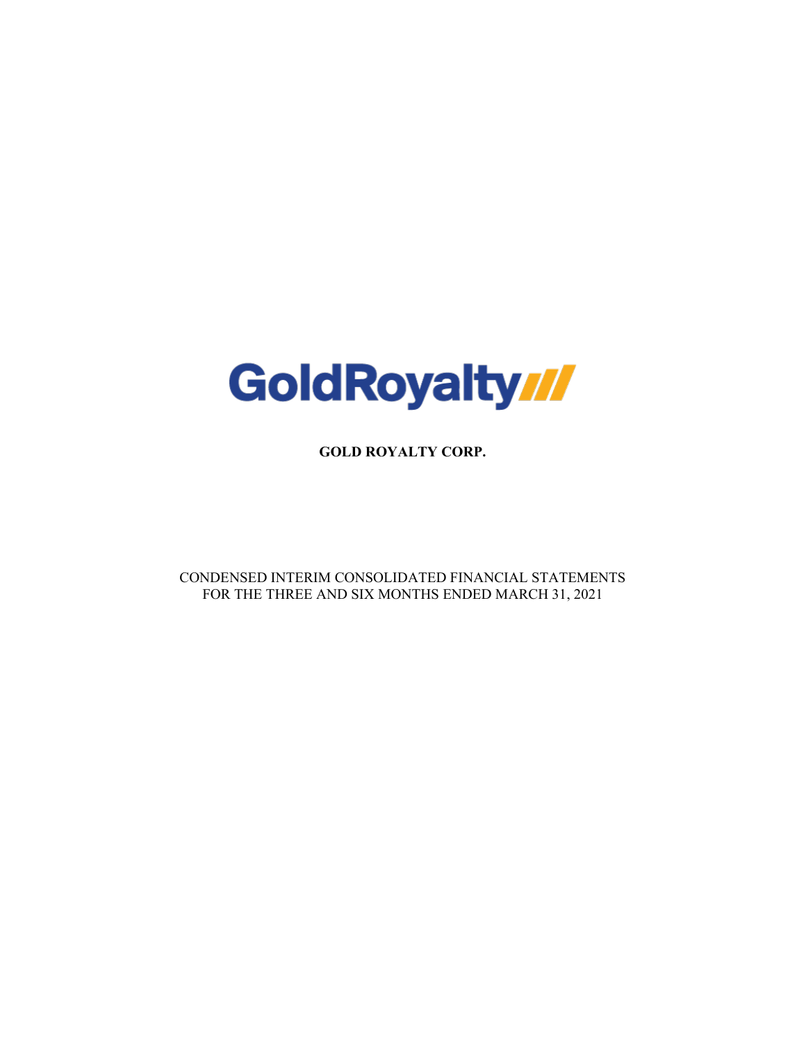

**GOLD ROYALTY CORP.**

CONDENSED INTERIM CONSOLIDATED FINANCIAL STATEMENTS FOR THE THREE AND SIX MONTHS ENDED MARCH 31, 2021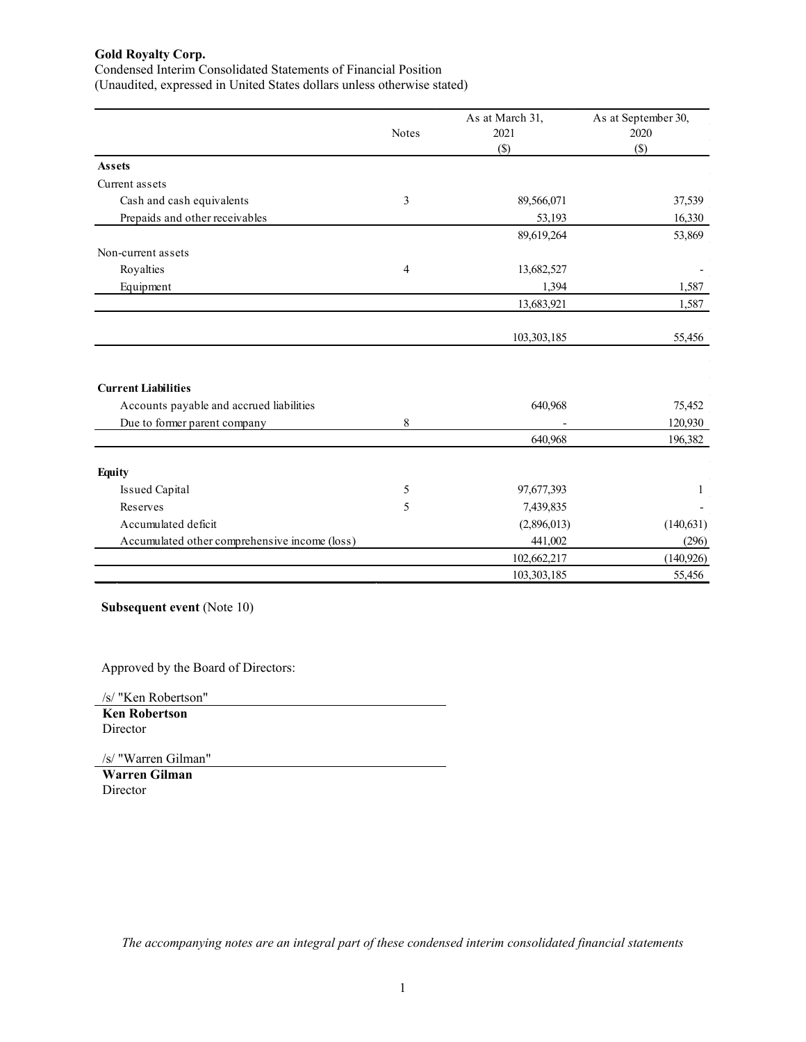Condensed Interim Consolidated Statements of Financial Position

(Unaudited, expressed in United States dollars unless otherwise stated)

|                                               |              | As at March 31, | As at September 30, |
|-----------------------------------------------|--------------|-----------------|---------------------|
|                                               | <b>Notes</b> | 2021            | 2020                |
|                                               |              | $($ \$)         | $($)$               |
| <b>Assets</b>                                 |              |                 |                     |
| Current assets                                |              |                 |                     |
| Cash and cash equivalents                     | 3            | 89,566,071      | 37,539              |
| Prepaids and other receivables                |              | 53,193          | 16,330              |
|                                               |              | 89,619,264      | 53,869              |
| Non-current assets                            |              |                 |                     |
| Royalties                                     | 4            | 13,682,527      |                     |
| Equipment                                     |              | 1,394           | 1,587               |
|                                               |              | 13,683,921      | 1,587               |
|                                               |              |                 |                     |
|                                               |              | 103,303,185     | 55,456              |
|                                               |              |                 |                     |
| <b>Current Liabilities</b>                    |              |                 |                     |
| Accounts payable and accrued liabilities      |              | 640,968         | 75,452              |
| Due to former parent company                  | 8            |                 | 120,930             |
|                                               |              | 640,968         | 196,382             |
| <b>Equity</b>                                 |              |                 |                     |
| <b>Issued Capital</b>                         | 5            | 97,677,393      | 1                   |
| Reserves                                      | 5            | 7,439,835       |                     |
| Accumulated deficit                           |              | (2,896,013)     | (140, 631)          |
| Accumulated other comprehensive income (loss) |              | 441,002         | (296)               |
|                                               |              | 102,662,217     | (140, 926)          |
|                                               |              | 103,303,185     | 55,456              |

**Subsequent event** (Note 10)

Approved by the Board of Directors:

/s/ "Ken Robertson" **Ken Robertson** Director

/s/ "Warren Gilman"

**Warren Gilman** Director

*The accompanying notes are an integral part of these condensed interim consolidated financial statements*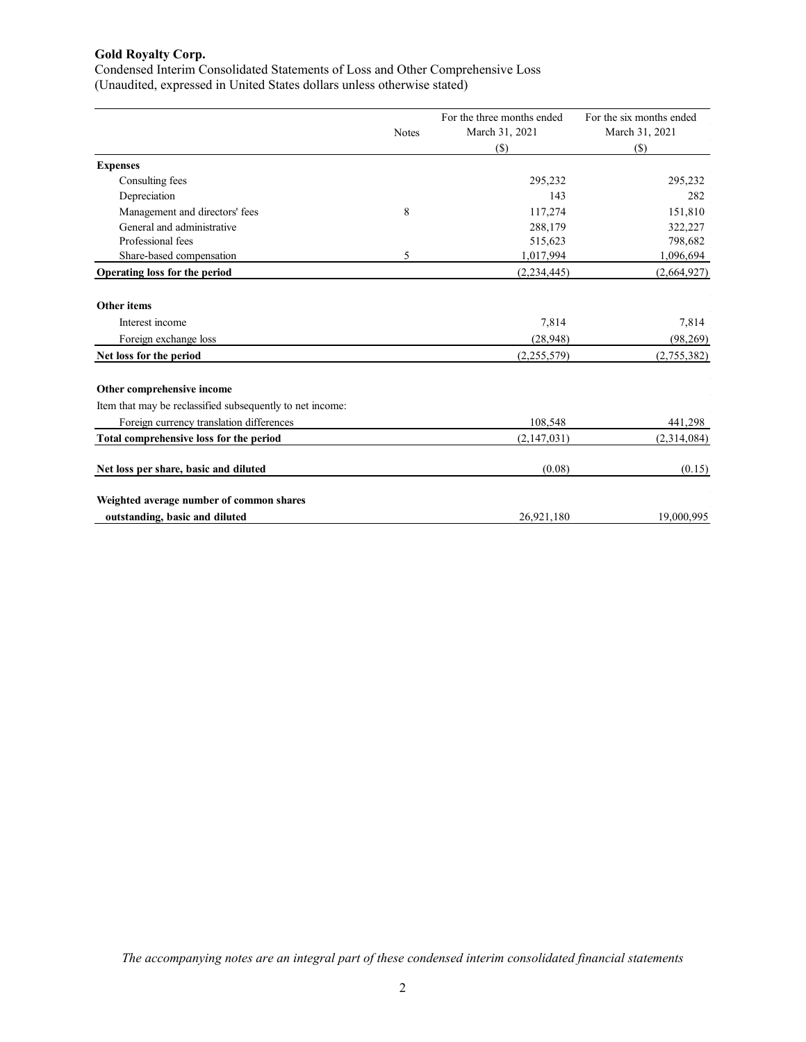Condensed Interim Consolidated Statements of Loss and Other Comprehensive Loss (Unaudited, expressed in United States dollars unless otherwise stated)

|                                                           |              | For the three months ended | For the six months ended |
|-----------------------------------------------------------|--------------|----------------------------|--------------------------|
|                                                           | <b>Notes</b> | March 31, 2021             | March 31, 2021           |
|                                                           |              | $(\$)$                     | $(\$)$                   |
| <b>Expenses</b>                                           |              |                            |                          |
| Consulting fees                                           |              | 295,232                    | 295,232                  |
| Depreciation                                              |              | 143                        | 282                      |
| Management and directors' fees                            | 8            | 117,274                    | 151,810                  |
| General and administrative                                |              | 288,179                    | 322,227                  |
| Professional fees                                         |              | 515,623                    | 798,682                  |
| Share-based compensation                                  | 5            | 1,017,994                  | 1,096,694                |
| Operating loss for the period                             |              | (2, 234, 445)              | (2,664,927)              |
| <b>Other items</b>                                        |              |                            |                          |
| Interest income                                           |              | 7,814                      | 7,814                    |
| Foreign exchange loss                                     |              | (28, 948)                  | (98, 269)                |
| Net loss for the period                                   |              | (2,255,579)                | (2,755,382)              |
| Other comprehensive income                                |              |                            |                          |
| Item that may be reclassified subsequently to net income: |              |                            |                          |
| Foreign currency translation differences                  |              | 108,548                    | 441,298                  |
| Total comprehensive loss for the period                   |              | (2,147,031)                | (2,314,084)              |
| Net loss per share, basic and diluted                     |              | (0.08)                     | (0.15)                   |
| Weighted average number of common shares                  |              |                            |                          |
| outstanding, basic and diluted                            |              | 26,921,180                 | 19,000,995               |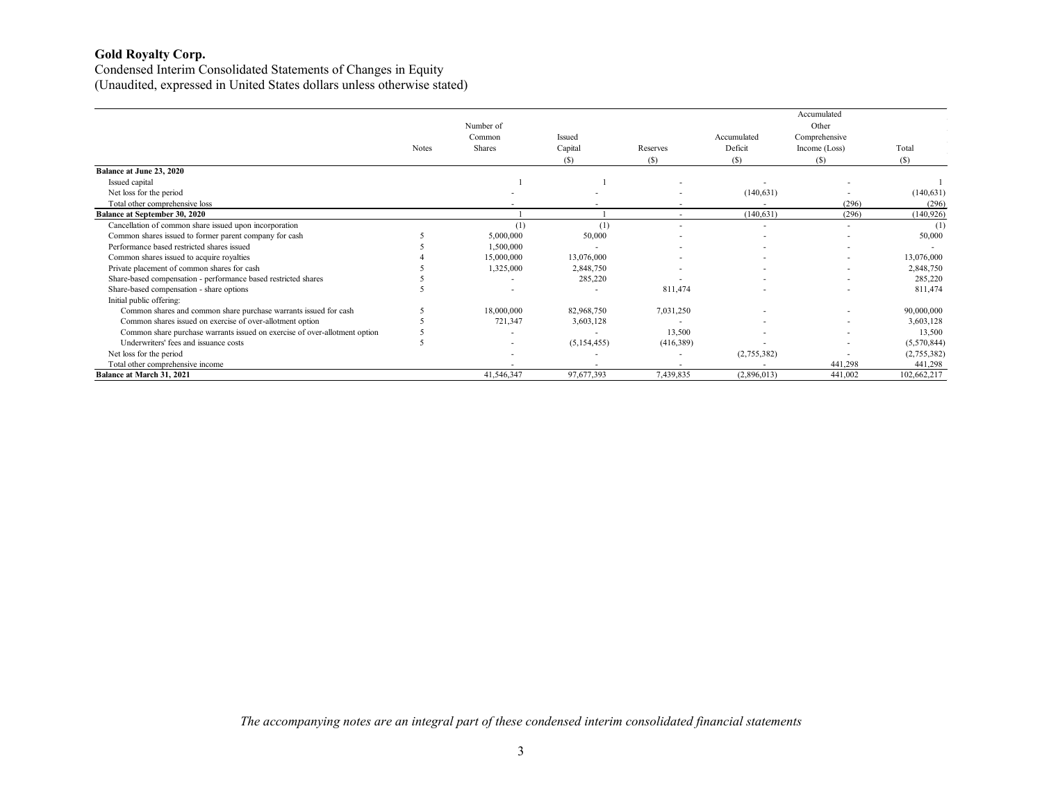Condensed Interim Consolidated Statements of Changes in Equity (Unaudited, expressed in United States dollars unless otherwise stated)

|                                                                            |       |                          |               |           |                          | Accumulated              |             |
|----------------------------------------------------------------------------|-------|--------------------------|---------------|-----------|--------------------------|--------------------------|-------------|
|                                                                            |       | Number of                |               |           |                          | Other                    |             |
|                                                                            |       | Common                   | Issued        |           | Accumulated              | Comprehensive            |             |
|                                                                            | Notes | Shares                   | Capital       | Reserves  | Deficit                  | Income (Loss)            | Total       |
|                                                                            |       |                          | (S)           | (S)       | (S)                      | (S)                      | (S)         |
| Balance at June 23, 2020                                                   |       |                          |               |           |                          |                          |             |
| Issued capital                                                             |       |                          |               |           |                          |                          |             |
| Net loss for the period                                                    |       |                          |               |           | (140, 631)               |                          | (140, 631)  |
| Total other comprehensive loss                                             |       |                          |               | $\sim$    |                          | (296)                    | (296)       |
| <b>Balance at September 30, 2020</b>                                       |       |                          |               | $\sim$    | (140, 631)               | (296)                    | (140, 926)  |
| Cancellation of common share issued upon incorporation                     |       | (1)                      | (1)           | $\sim$    |                          | $\sim$                   | (1)         |
| Common shares issued to former parent company for cash                     |       | 5,000,000                | 50,000        |           |                          |                          | 50,000      |
| Performance based restricted shares issued                                 |       | 1,500,000                |               |           | $\overline{\phantom{a}}$ | $\overline{\phantom{a}}$ |             |
| Common shares issued to acquire royalties                                  |       | 15,000,000               | 13,076,000    |           |                          | $\sim$                   | 13,076,000  |
| Private placement of common shares for cash                                |       | 1,325,000                | 2,848,750     |           | ٠                        | $\overline{\phantom{a}}$ | 2,848,750   |
| Share-based compensation - performance based restricted shares             |       |                          | 285,220       |           |                          | $\overline{\phantom{a}}$ | 285,220     |
| Share-based compensation - share options                                   |       | $\overline{\phantom{a}}$ |               | 811,474   |                          |                          | 811,474     |
| Initial public offering:                                                   |       |                          |               |           |                          |                          |             |
| Common shares and common share purchase warrants issued for cash           |       | 18,000,000               | 82,968,750    | 7,031,250 |                          |                          | 90,000,000  |
| Common shares issued on exercise of over-allotment option                  |       | 721,347                  | 3,603,128     |           |                          |                          | 3,603,128   |
| Common share purchase warrants issued on exercise of over-allotment option |       |                          |               | 13,500    |                          |                          | 13,500      |
| Underwriters' fees and issuance costs                                      |       |                          | (5, 154, 455) | (416,389) |                          |                          | (5,570,844) |
| Net loss for the period                                                    |       |                          |               |           | (2,755,382)              |                          | (2,755,382) |
| Total other comprehensive income                                           |       |                          |               |           |                          | 441,298                  | 441,298     |
| <b>Balance at March 31, 2021</b>                                           |       | 41,546,347               | 97,677,393    | 7,439,835 | (2,896,013)              | 441,002                  | 102,662,217 |

*The accompanying notes are an integral part of these condensed interim consolidated financial statements*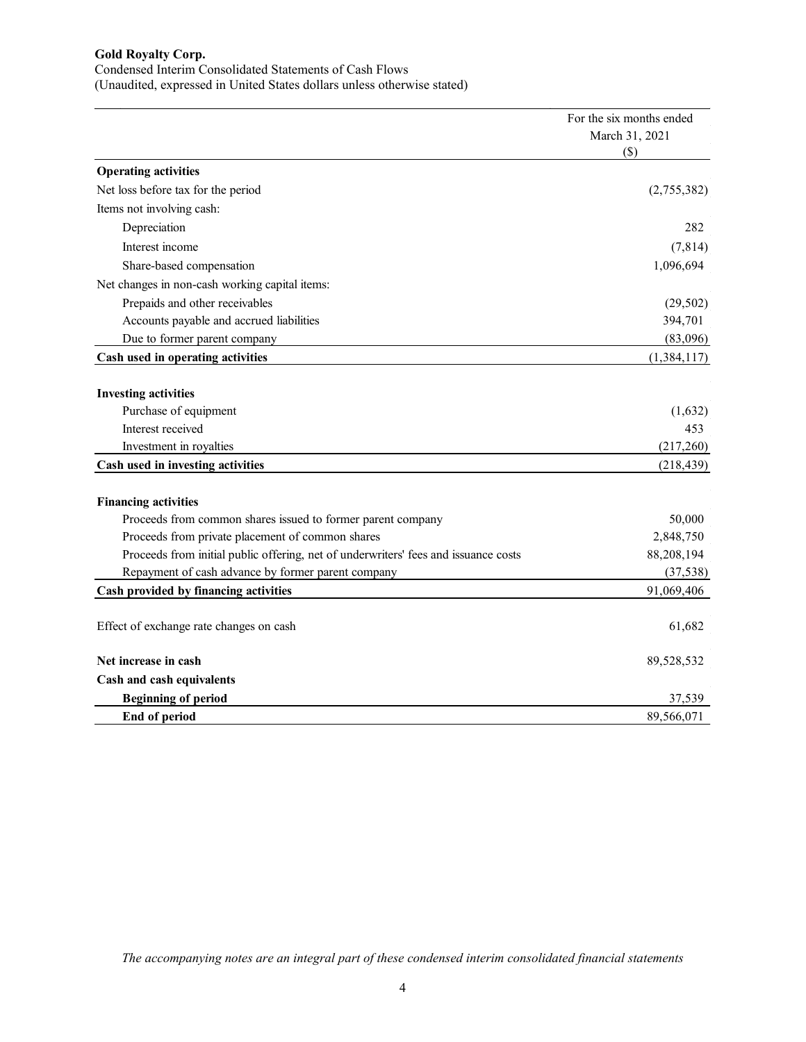#### Condensed Interim Consolidated Statements of Cash Flows

(Unaudited, expressed in United States dollars unless otherwise stated)

|                                                                                     | For the six months ended<br>March 31, 2021 |
|-------------------------------------------------------------------------------------|--------------------------------------------|
|                                                                                     | $(\$)$                                     |
| <b>Operating activities</b>                                                         |                                            |
| Net loss before tax for the period                                                  | (2,755,382)                                |
| Items not involving cash:                                                           |                                            |
| Depreciation                                                                        | 282                                        |
| Interest income                                                                     | (7, 814)                                   |
| Share-based compensation                                                            | 1,096,694                                  |
| Net changes in non-cash working capital items:                                      |                                            |
| Prepaids and other receivables                                                      | (29, 502)                                  |
| Accounts payable and accrued liabilities                                            | 394,701                                    |
| Due to former parent company                                                        | (83,096)                                   |
| Cash used in operating activities                                                   | (1,384,117)                                |
|                                                                                     |                                            |
| <b>Investing activities</b>                                                         |                                            |
| Purchase of equipment                                                               | (1,632)                                    |
| Interest received                                                                   | 453                                        |
| Investment in royalties                                                             | (217,260)                                  |
| Cash used in investing activities                                                   | (218, 439)                                 |
|                                                                                     |                                            |
| <b>Financing activities</b>                                                         |                                            |
| Proceeds from common shares issued to former parent company                         | 50,000                                     |
| Proceeds from private placement of common shares                                    | 2,848,750                                  |
| Proceeds from initial public offering, net of underwriters' fees and issuance costs | 88,208,194                                 |
| Repayment of cash advance by former parent company                                  | (37, 538)                                  |
| Cash provided by financing activities                                               | 91,069,406                                 |
| Effect of exchange rate changes on cash                                             | 61,682                                     |
| Net increase in cash                                                                | 89,528,532                                 |
| Cash and cash equivalents                                                           |                                            |
| <b>Beginning of period</b>                                                          | 37,539                                     |
| End of period                                                                       | 89,566,071                                 |

*The accompanying notes are an integral part of these condensed interim consolidated financial statements*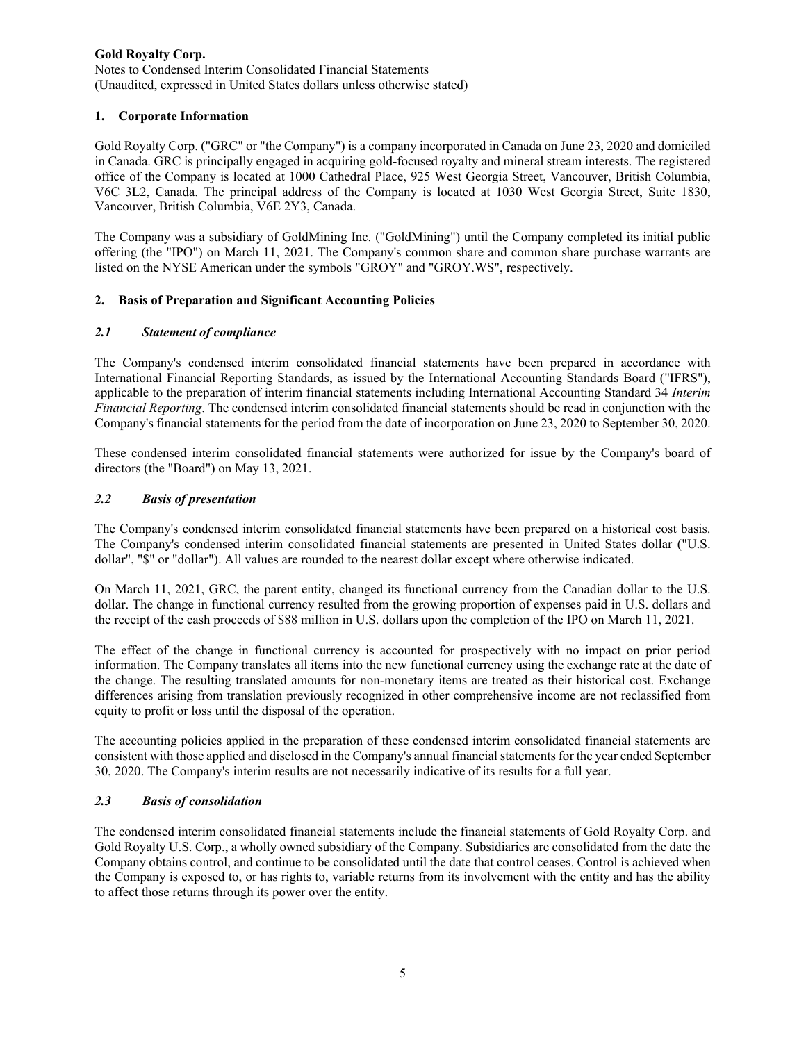Notes to Condensed Interim Consolidated Financial Statements (Unaudited, expressed in United States dollars unless otherwise stated)

### **1. Corporate Information**

Gold Royalty Corp. ("GRC" or "the Company") is a company incorporated in Canada on June 23, 2020 and domiciled in Canada. GRC is principally engaged in acquiring gold-focused royalty and mineral stream interests. The registered office of the Company is located at 1000 Cathedral Place, 925 West Georgia Street, Vancouver, British Columbia, V6C 3L2, Canada. The principal address of the Company is located at 1030 West Georgia Street, Suite 1830, Vancouver, British Columbia, V6E 2Y3, Canada.

The Company was a subsidiary of GoldMining Inc. ("GoldMining") until the Company completed its initial public offering (the "IPO") on March 11, 2021. The Company's common share and common share purchase warrants are listed on the NYSE American under the symbols "GROY" and "GROY.WS", respectively.

# **2. Basis of Preparation and Significant Accounting Policies**

# *2.1 Statement of compliance*

The Company's condensed interim consolidated financial statements have been prepared in accordance with International Financial Reporting Standards, as issued by the International Accounting Standards Board ("IFRS"), applicable to the preparation of interim financial statements including International Accounting Standard 34 *Interim Financial Reporting*. The condensed interim consolidated financial statements should be read in conjunction with the Company's financial statements for the period from the date of incorporation on June 23, 2020 to September 30, 2020.

These condensed interim consolidated financial statements were authorized for issue by the Company's board of directors (the "Board") on May 13, 2021.

# *2.2 Basis of presentation*

The Company's condensed interim consolidated financial statements have been prepared on a historical cost basis. The Company's condensed interim consolidated financial statements are presented in United States dollar ("U.S. dollar", "\$" or "dollar"). All values are rounded to the nearest dollar except where otherwise indicated.

On March 11, 2021, GRC, the parent entity, changed its functional currency from the Canadian dollar to the U.S. dollar. The change in functional currency resulted from the growing proportion of expenses paid in U.S. dollars and the receipt of the cash proceeds of \$88 million in U.S. dollars upon the completion of the IPO on March 11, 2021.

The effect of the change in functional currency is accounted for prospectively with no impact on prior period information. The Company translates all items into the new functional currency using the exchange rate at the date of the change. The resulting translated amounts for non-monetary items are treated as their historical cost. Exchange differences arising from translation previously recognized in other comprehensive income are not reclassified from equity to profit or loss until the disposal of the operation.

The accounting policies applied in the preparation of these condensed interim consolidated financial statements are consistent with those applied and disclosed in the Company's annual financial statements for the year ended September 30, 2020. The Company's interim results are not necessarily indicative of its results for a full year.

### *2.3 Basis of consolidation*

The condensed interim consolidated financial statements include the financial statements of Gold Royalty Corp. and Gold Royalty U.S. Corp., a wholly owned subsidiary of the Company. Subsidiaries are consolidated from the date the Company obtains control, and continue to be consolidated until the date that control ceases. Control is achieved when the Company is exposed to, or has rights to, variable returns from its involvement with the entity and has the ability to affect those returns through its power over the entity.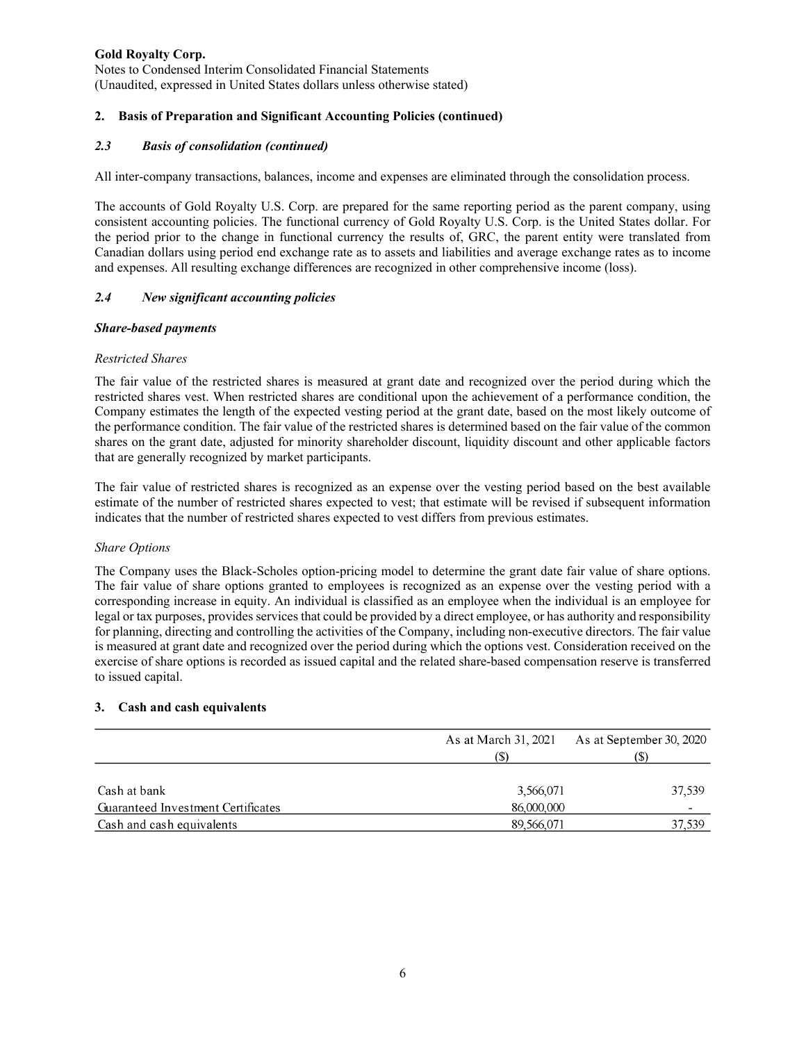Notes to Condensed Interim Consolidated Financial Statements (Unaudited, expressed in United States dollars unless otherwise stated)

## **2. Basis of Preparation and Significant Accounting Policies (continued)**

### *2.3 Basis of consolidation (continued)*

All inter-company transactions, balances, income and expenses are eliminated through the consolidation process.

The accounts of Gold Royalty U.S. Corp. are prepared for the same reporting period as the parent company, using consistent accounting policies. The functional currency of Gold Royalty U.S. Corp. is the United States dollar. For the period prior to the change in functional currency the results of, GRC, the parent entity were translated from Canadian dollars using period end exchange rate as to assets and liabilities and average exchange rates as to income and expenses. All resulting exchange differences are recognized in other comprehensive income (loss).

# *2.4 New significant accounting policies*

### *Share-based payments*

### *Restricted Shares*

The fair value of the restricted shares is measured at grant date and recognized over the period during which the restricted shares vest. When restricted shares are conditional upon the achievement of a performance condition, the Company estimates the length of the expected vesting period at the grant date, based on the most likely outcome of the performance condition. The fair value of the restricted shares is determined based on the fair value of the common shares on the grant date, adjusted for minority shareholder discount, liquidity discount and other applicable factors that are generally recognized by market participants.

The fair value of restricted shares is recognized as an expense over the vesting period based on the best available estimate of the number of restricted shares expected to vest; that estimate will be revised if subsequent information indicates that the number of restricted shares expected to vest differs from previous estimates.

### *Share Options*

The Company uses the Black-Scholes option-pricing model to determine the grant date fair value of share options. The fair value of share options granted to employees is recognized as an expense over the vesting period with a corresponding increase in equity. An individual is classified as an employee when the individual is an employee for legal or tax purposes, provides services that could be provided by a direct employee, or has authority and responsibility for planning, directing and controlling the activities of the Company, including non-executive directors. The fair value is measured at grant date and recognized over the period during which the options vest. Consideration received on the exercise of share options is recorded as issued capital and the related share-based compensation reserve is transferred to issued capital.

### **3. Cash and cash equivalents**

|                                    | As at March 31, 2021 | As at September 30, 2020 |  |
|------------------------------------|----------------------|--------------------------|--|
|                                    | (S)                  | (\$)                     |  |
|                                    |                      |                          |  |
| Cash at bank                       | 3,566,071            | 37,539                   |  |
| Guaranteed Investment Certificates | 86,000,000           |                          |  |
| Cash and cash equivalents          | 89,566,071           | 37,539                   |  |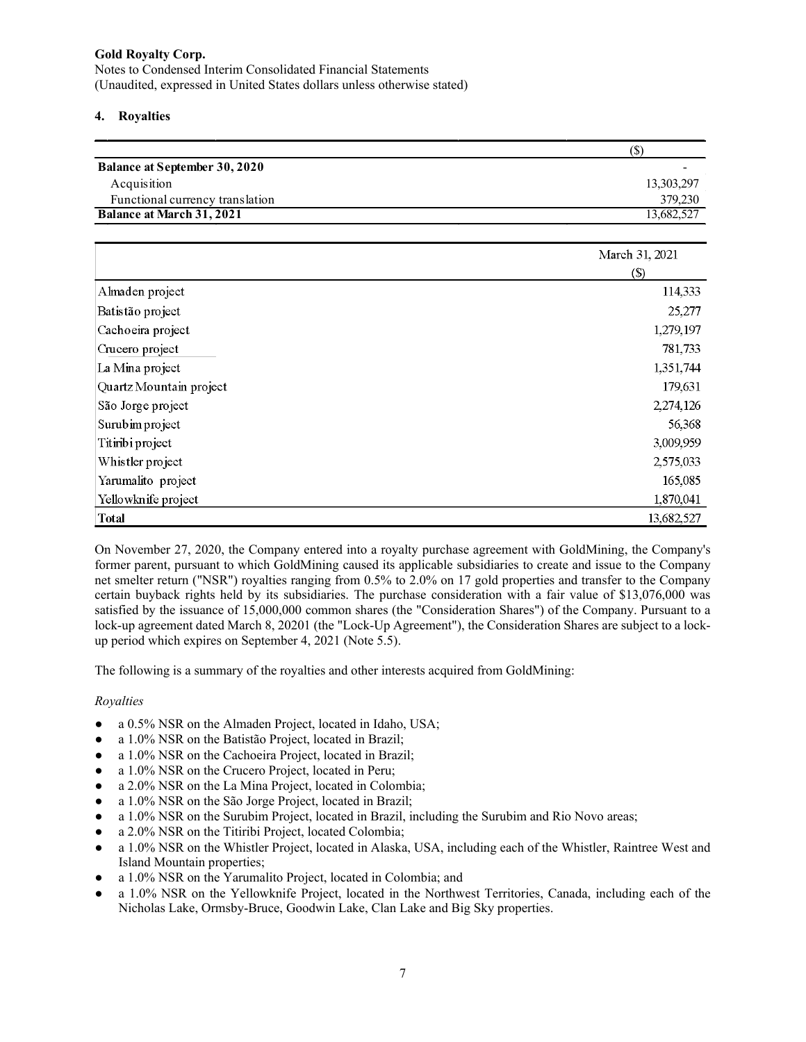Notes to Condensed Interim Consolidated Financial Statements (Unaudited, expressed in United States dollars unless otherwise stated)

#### **4. Royalties**

|                                      | II)        |
|--------------------------------------|------------|
| <b>Balance at September 30, 2020</b> | -          |
| Acquisition                          | 13,303,297 |
| Functional currency translation      | 379,230    |
| <b>Balance at March 31, 2021</b>     | 13,682,527 |

|                         | March 31, 2021             |
|-------------------------|----------------------------|
|                         | $\left( \mathbb{S}\right)$ |
| Almaden project         | 114,333                    |
| Batistão project        | 25,277                     |
| Cachoeira project       | 1,279,197                  |
| Crucero project         | 781,733                    |
| La Mina project         | 1,351,744                  |
| Quartz Mountain project | 179,631                    |
| São Jorge project       | 2,274,126                  |
| Surubim project         | 56,368                     |
| Titiribi project        | 3,009,959                  |
| Whistler project        | 2,575,033                  |
| Yarumalito project      | 165,085                    |
| Yellowknife project     | 1,870,041                  |
| <b>Total</b>            | 13,682,527                 |

On November 27, 2020, the Company entered into a royalty purchase agreement with GoldMining, the Company's former parent, pursuant to which GoldMining caused its applicable subsidiaries to create and issue to the Company net smelter return ("NSR") royalties ranging from 0.5% to 2.0% on 17 gold properties and transfer to the Company certain buyback rights held by its subsidiaries. The purchase consideration with a fair value of \$13,076,000 was satisfied by the issuance of 15,000,000 common shares (the "Consideration Shares") of the Company. Pursuant to a lock-up agreement dated March 8, 20201 (the "Lock-Up Agreement"), the Consideration Shares are subject to a lockup period which expires on September 4, 2021 (Note 5.5).

The following is a summary of the royalties and other interests acquired from GoldMining:

### *Royalties*

- a 0.5% NSR on the Almaden Project, located in Idaho, USA;
- a 1.0% NSR on the Batistão Project, located in Brazil;
- a 1.0% NSR on the Cachoeira Project, located in Brazil;
- a 1.0% NSR on the Crucero Project, located in Peru;
- a 2.0% NSR on the La Mina Project, located in Colombia;
- a 1.0% NSR on the São Jorge Project, located in Brazil;
- a 1.0% NSR on the Surubim Project, located in Brazil, including the Surubim and Rio Novo areas;
- a 2.0% NSR on the Titiribi Project, located Colombia;
- a 1.0% NSR on the Whistler Project, located in Alaska, USA, including each of the Whistler, Raintree West and Island Mountain properties;
- a 1.0% NSR on the Yarumalito Project, located in Colombia; and
- a 1.0% NSR on the Yellowknife Project, located in the Northwest Territories, Canada, including each of the Nicholas Lake, Ormsby-Bruce, Goodwin Lake, Clan Lake and Big Sky properties.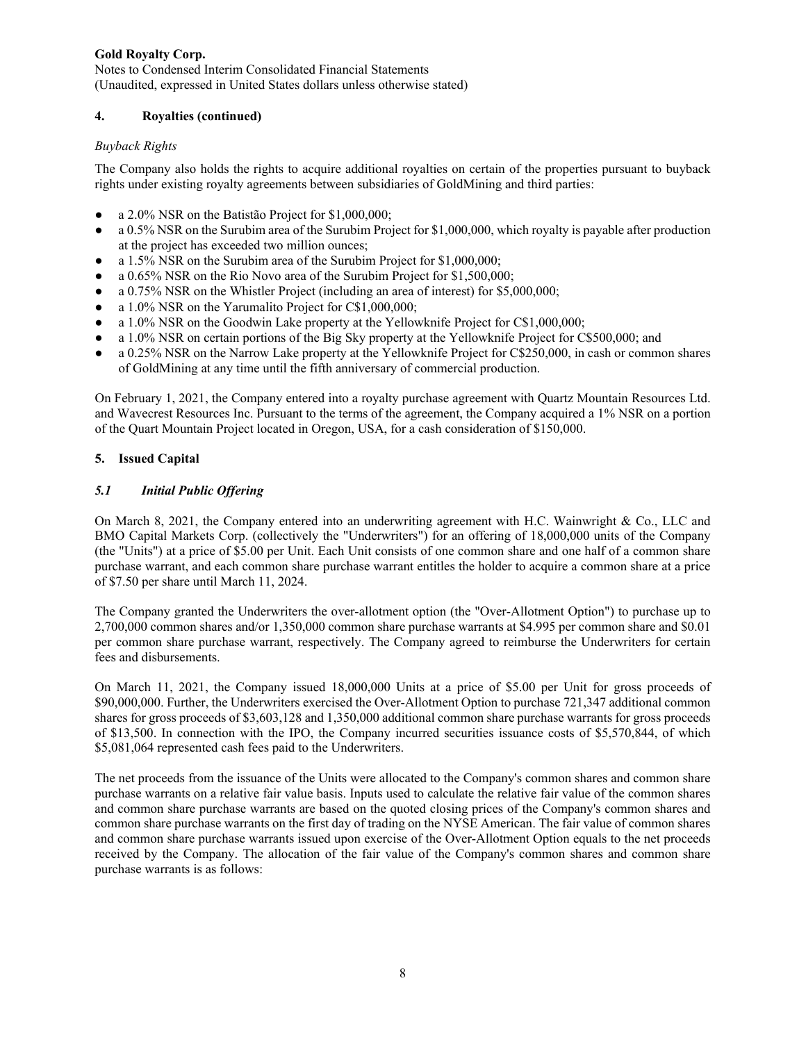Notes to Condensed Interim Consolidated Financial Statements (Unaudited, expressed in United States dollars unless otherwise stated)

## **4. Royalties (continued)**

### *Buyback Rights*

The Company also holds the rights to acquire additional royalties on certain of the properties pursuant to buyback rights under existing royalty agreements between subsidiaries of GoldMining and third parties:

- a  $2.0\%$  NSR on the Batistão Project for \$1,000,000;
- a 0.5% NSR on the Surubim area of the Surubim Project for \$1,000,000, which royalty is payable after production at the project has exceeded two million ounces;
- a 1.5% NSR on the Surubim area of the Surubim Project for \$1,000,000;
- a 0.65% NSR on the Rio Novo area of the Surubim Project for \$1,500,000;
- a 0.75% NSR on the Whistler Project (including an area of interest) for \$5,000,000;
- a 1.0% NSR on the Yarumalito Project for C\$1,000,000;
- a 1.0% NSR on the Goodwin Lake property at the Yellowknife Project for C\$1,000,000;
- a 1.0% NSR on certain portions of the Big Sky property at the Yellowknife Project for C\$500,000; and
- a 0.25% NSR on the Narrow Lake property at the Yellowknife Project for C\$250,000, in cash or common shares of GoldMining at any time until the fifth anniversary of commercial production.

On February 1, 2021, the Company entered into a royalty purchase agreement with Quartz Mountain Resources Ltd. and Wavecrest Resources Inc. Pursuant to the terms of the agreement, the Company acquired a 1% NSR on a portion of the Quart Mountain Project located in Oregon, USA, for a cash consideration of \$150,000.

# **5. Issued Capital**

# *5.1 Initial Public Offering*

On March 8, 2021, the Company entered into an underwriting agreement with H.C. Wainwright & Co., LLC and BMO Capital Markets Corp. (collectively the "Underwriters") for an offering of 18,000,000 units of the Company (the "Units") at a price of \$5.00 per Unit. Each Unit consists of one common share and one half of a common share purchase warrant, and each common share purchase warrant entitles the holder to acquire a common share at a price of \$7.50 per share until March 11, 2024.

The Company granted the Underwriters the over-allotment option (the "Over-Allotment Option") to purchase up to 2,700,000 common shares and/or 1,350,000 common share purchase warrants at \$4.995 per common share and \$0.01 per common share purchase warrant, respectively. The Company agreed to reimburse the Underwriters for certain fees and disbursements.

On March 11, 2021, the Company issued 18,000,000 Units at a price of \$5.00 per Unit for gross proceeds of \$90,000,000. Further, the Underwriters exercised the Over-Allotment Option to purchase 721,347 additional common shares for gross proceeds of \$3,603,128 and 1,350,000 additional common share purchase warrants for gross proceeds of \$13,500. In connection with the IPO, the Company incurred securities issuance costs of \$5,570,844, of which \$5,081,064 represented cash fees paid to the Underwriters.

The net proceeds from the issuance of the Units were allocated to the Company's common shares and common share purchase warrants on a relative fair value basis. Inputs used to calculate the relative fair value of the common shares and common share purchase warrants are based on the quoted closing prices of the Company's common shares and common share purchase warrants on the first day of trading on the NYSE American. The fair value of common shares and common share purchase warrants issued upon exercise of the Over-Allotment Option equals to the net proceeds received by the Company. The allocation of the fair value of the Company's common shares and common share purchase warrants is as follows: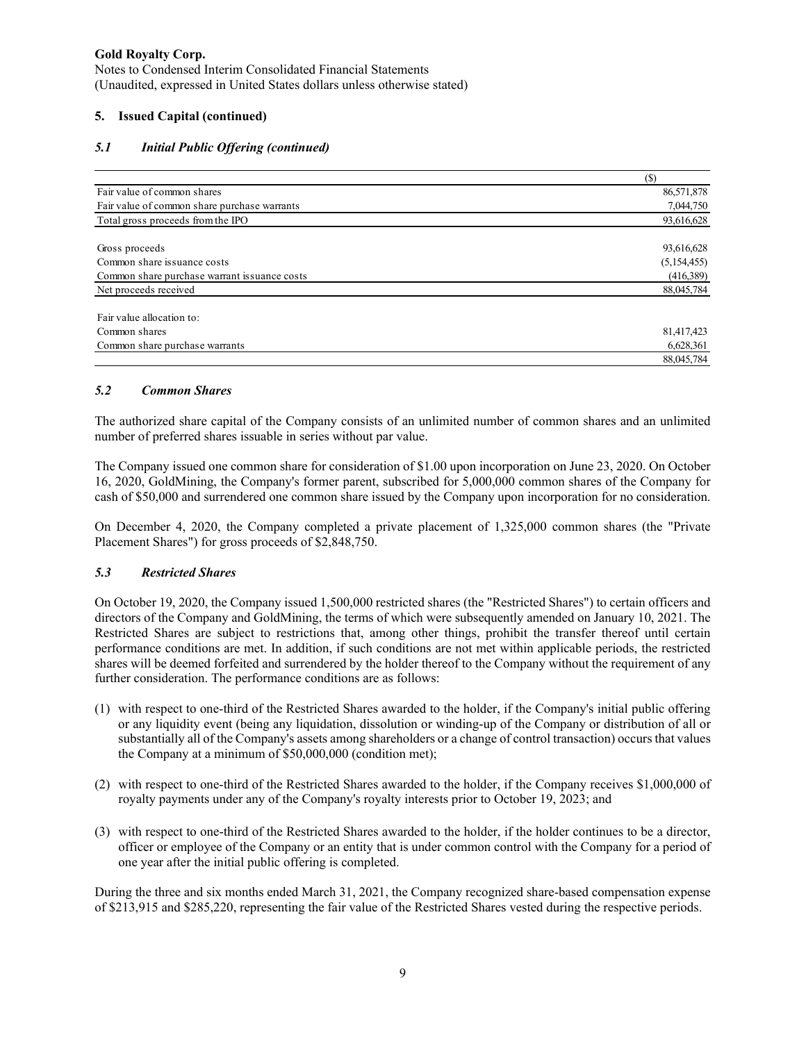Notes to Condensed Interim Consolidated Financial Statements (Unaudited, expressed in United States dollars unless otherwise stated)

## **5. Issued Capital (continued)**

# *5.1 Initial Public Offering (continued)*

| Fair value of common shares                  | 86,571,878  |
|----------------------------------------------|-------------|
| Fair value of common share purchase warrants | 7,044,750   |
| Total gross proceeds from the IPO            | 93,616,628  |
|                                              |             |
| Gross proceeds                               | 93,616,628  |
| Common share issuance costs                  | (5,154,455) |
| Common share purchase warrant issuance costs | (416,389)   |
| Net proceeds received                        | 88,045,784  |
| Fair value allocation to:                    |             |
| Common shares                                | 81,417,423  |
| Common share purchase warrants               | 6,628,361   |
|                                              | 88,045,784  |

### *5.2 Common Shares*

The authorized share capital of the Company consists of an unlimited number of common shares and an unlimited number of preferred shares issuable in series without par value.

The Company issued one common share for consideration of \$1.00 upon incorporation on June 23, 2020. On October 16, 2020, GoldMining, the Company's former parent, subscribed for 5,000,000 common shares of the Company for cash of \$50,000 and surrendered one common share issued by the Company upon incorporation for no consideration.

On December 4, 2020, the Company completed a private placement of 1,325,000 common shares (the "Private Placement Shares") for gross proceeds of \$2,848,750.

### *5.3 Restricted Shares*

On October 19, 2020, the Company issued 1,500,000 restricted shares (the "Restricted Shares") to certain officers and directors of the Company and GoldMining, the terms of which were subsequently amended on January 10, 2021. The Restricted Shares are subject to restrictions that, among other things, prohibit the transfer thereof until certain performance conditions are met. In addition, if such conditions are not met within applicable periods, the restricted shares will be deemed forfeited and surrendered by the holder thereof to the Company without the requirement of any further consideration. The performance conditions are as follows:

- (1) with respect to one-third of the Restricted Shares awarded to the holder, if the Company's initial public offering or any liquidity event (being any liquidation, dissolution or winding-up of the Company or distribution of all or substantially all of the Company's assets among shareholders or a change of control transaction) occurs that values the Company at a minimum of \$50,000,000 (condition met);
- (2) with respect to one-third of the Restricted Shares awarded to the holder, if the Company receives \$1,000,000 of royalty payments under any of the Company's royalty interests prior to October 19, 2023; and
- (3) with respect to one-third of the Restricted Shares awarded to the holder, if the holder continues to be a director, officer or employee of the Company or an entity that is under common control with the Company for a period of one year after the initial public offering is completed.

During the three and six months ended March 31, 2021, the Company recognized share-based compensation expense of \$213,915 and \$285,220, representing the fair value of the Restricted Shares vested during the respective periods.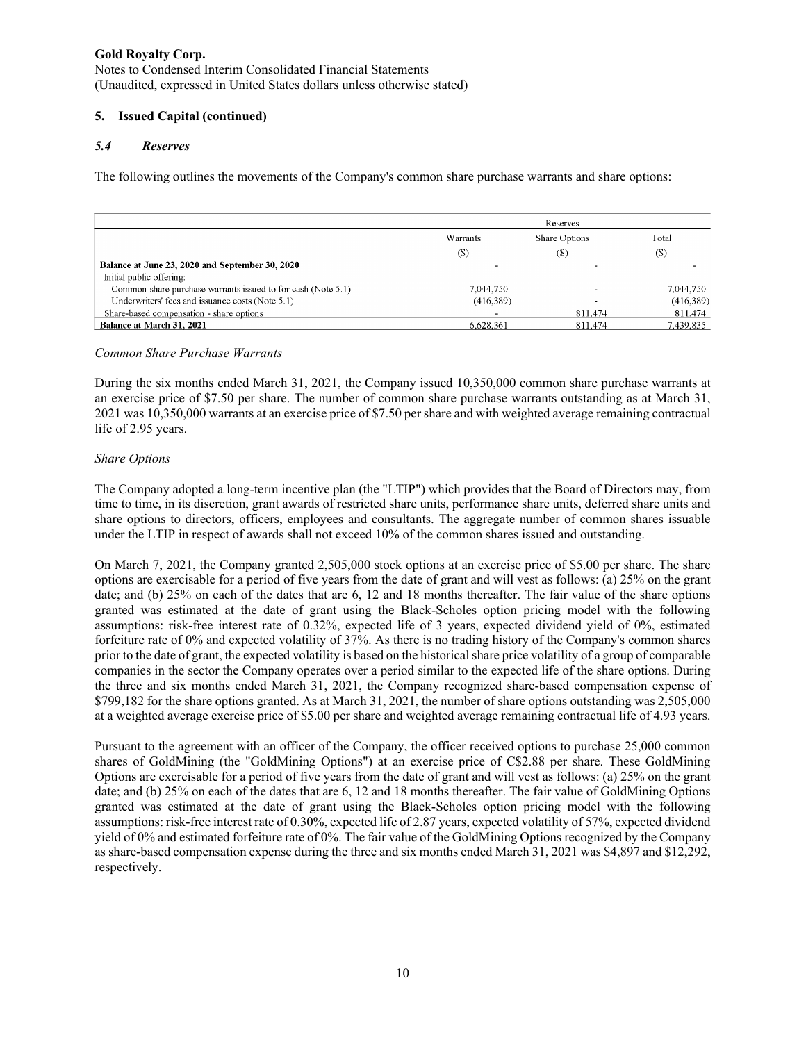Notes to Condensed Interim Consolidated Financial Statements (Unaudited, expressed in United States dollars unless otherwise stated)

## **5. Issued Capital (continued)**

### *5.4 Reserves*

The following outlines the movements of the Company's common share purchase warrants and share options:

|                                                              | Reserves  |               |           |
|--------------------------------------------------------------|-----------|---------------|-----------|
|                                                              | Warrants  | Share Options | Total     |
|                                                              | (S)       | (S)           | (S)       |
| Balance at June 23, 2020 and September 30, 2020              |           |               |           |
| Initial public offering:                                     |           |               |           |
| Common share purchase warrants issued to for cash (Note 5.1) | 7.044.750 |               | 7.044.750 |
| Underwriters' fees and issuance costs (Note 5.1)             | (416,389) |               | (416,389) |
| Share-based compensation - share options                     |           | 811.474       | 811,474   |
| Balance at March 31, 2021                                    | 6.628.361 | 811.474       | 7,439,835 |

#### *Common Share Purchase Warrants*

During the six months ended March 31, 2021, the Company issued 10,350,000 common share purchase warrants at an exercise price of \$7.50 per share. The number of common share purchase warrants outstanding as at March 31, 2021 was 10,350,000 warrants at an exercise price of \$7.50 per share and with weighted average remaining contractual life of 2.95 years.

### *Share Options*

The Company adopted a long-term incentive plan (the "LTIP") which provides that the Board of Directors may, from time to time, in its discretion, grant awards of restricted share units, performance share units, deferred share units and share options to directors, officers, employees and consultants. The aggregate number of common shares issuable under the LTIP in respect of awards shall not exceed 10% of the common shares issued and outstanding.

On March 7, 2021, the Company granted 2,505,000 stock options at an exercise price of \$5.00 per share. The share options are exercisable for a period of five years from the date of grant and will vest as follows: (a) 25% on the grant date; and (b) 25% on each of the dates that are 6, 12 and 18 months thereafter. The fair value of the share options granted was estimated at the date of grant using the Black-Scholes option pricing model with the following assumptions: risk-free interest rate of 0.32%, expected life of 3 years, expected dividend yield of 0%, estimated forfeiture rate of 0% and expected volatility of 37%. As there is no trading history of the Company's common shares prior to the date of grant, the expected volatility is based on the historical share price volatility of a group of comparable companies in the sector the Company operates over a period similar to the expected life of the share options. During the three and six months ended March 31, 2021, the Company recognized share-based compensation expense of \$799,182 for the share options granted. As at March 31, 2021, the number of share options outstanding was 2,505,000 at a weighted average exercise price of \$5.00 per share and weighted average remaining contractual life of 4.93 years.

Pursuant to the agreement with an officer of the Company, the officer received options to purchase 25,000 common shares of GoldMining (the "GoldMining Options") at an exercise price of C\$2.88 per share. These GoldMining Options are exercisable for a period of five years from the date of grant and will vest as follows: (a) 25% on the grant date; and (b) 25% on each of the dates that are 6, 12 and 18 months thereafter. The fair value of GoldMining Options granted was estimated at the date of grant using the Black-Scholes option pricing model with the following assumptions: risk-free interest rate of 0.30%, expected life of 2.87 years, expected volatility of 57%, expected dividend yield of 0% and estimated forfeiture rate of 0%. The fair value of the GoldMining Options recognized by the Company as share-based compensation expense during the three and six months ended March 31, 2021 was \$4,897 and \$12,292, respectively.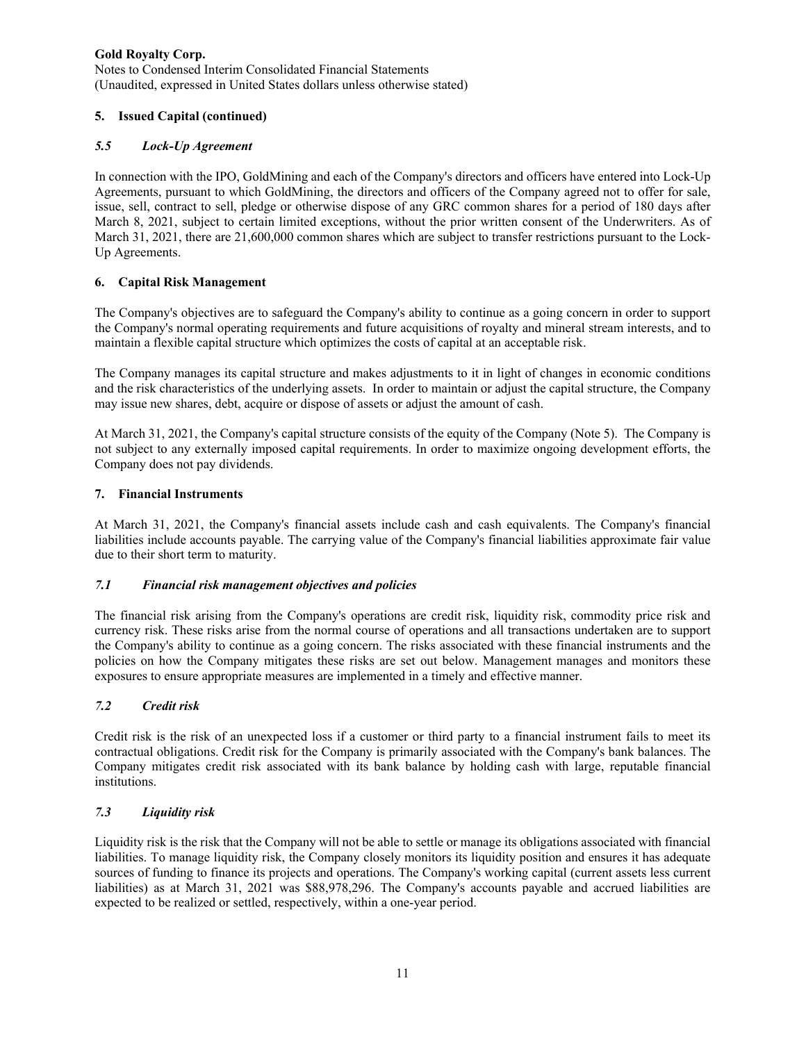Notes to Condensed Interim Consolidated Financial Statements (Unaudited, expressed in United States dollars unless otherwise stated)

# **5. Issued Capital (continued)**

### *5.5 Lock-Up Agreement*

In connection with the IPO, GoldMining and each of the Company's directors and officers have entered into Lock-Up Agreements, pursuant to which GoldMining, the directors and officers of the Company agreed not to offer for sale, issue, sell, contract to sell, pledge or otherwise dispose of any GRC common shares for a period of 180 days after March 8, 2021, subject to certain limited exceptions, without the prior written consent of the Underwriters. As of March 31, 2021, there are 21,600,000 common shares which are subject to transfer restrictions pursuant to the Lock-Up Agreements.

# **6. Capital Risk Management**

The Company's objectives are to safeguard the Company's ability to continue as a going concern in order to support the Company's normal operating requirements and future acquisitions of royalty and mineral stream interests, and to maintain a flexible capital structure which optimizes the costs of capital at an acceptable risk.

The Company manages its capital structure and makes adjustments to it in light of changes in economic conditions and the risk characteristics of the underlying assets. In order to maintain or adjust the capital structure, the Company may issue new shares, debt, acquire or dispose of assets or adjust the amount of cash.

At March 31, 2021, the Company's capital structure consists of the equity of the Company (Note 5). The Company is not subject to any externally imposed capital requirements. In order to maximize ongoing development efforts, the Company does not pay dividends.

### **7. Financial Instruments**

At March 31, 2021, the Company's financial assets include cash and cash equivalents. The Company's financial liabilities include accounts payable. The carrying value of the Company's financial liabilities approximate fair value due to their short term to maturity.

### *7.1 Financial risk management objectives and policies*

The financial risk arising from the Company's operations are credit risk, liquidity risk, commodity price risk and currency risk. These risks arise from the normal course of operations and all transactions undertaken are to support the Company's ability to continue as a going concern. The risks associated with these financial instruments and the policies on how the Company mitigates these risks are set out below. Management manages and monitors these exposures to ensure appropriate measures are implemented in a timely and effective manner.

### *7.2 Credit risk*

Credit risk is the risk of an unexpected loss if a customer or third party to a financial instrument fails to meet its contractual obligations. Credit risk for the Company is primarily associated with the Company's bank balances. The Company mitigates credit risk associated with its bank balance by holding cash with large, reputable financial institutions.

### *7.3 Liquidity risk*

Liquidity risk is the risk that the Company will not be able to settle or manage its obligations associated with financial liabilities. To manage liquidity risk, the Company closely monitors its liquidity position and ensures it has adequate sources of funding to finance its projects and operations. The Company's working capital (current assets less current liabilities) as at March 31, 2021 was \$88,978,296. The Company's accounts payable and accrued liabilities are expected to be realized or settled, respectively, within a one-year period.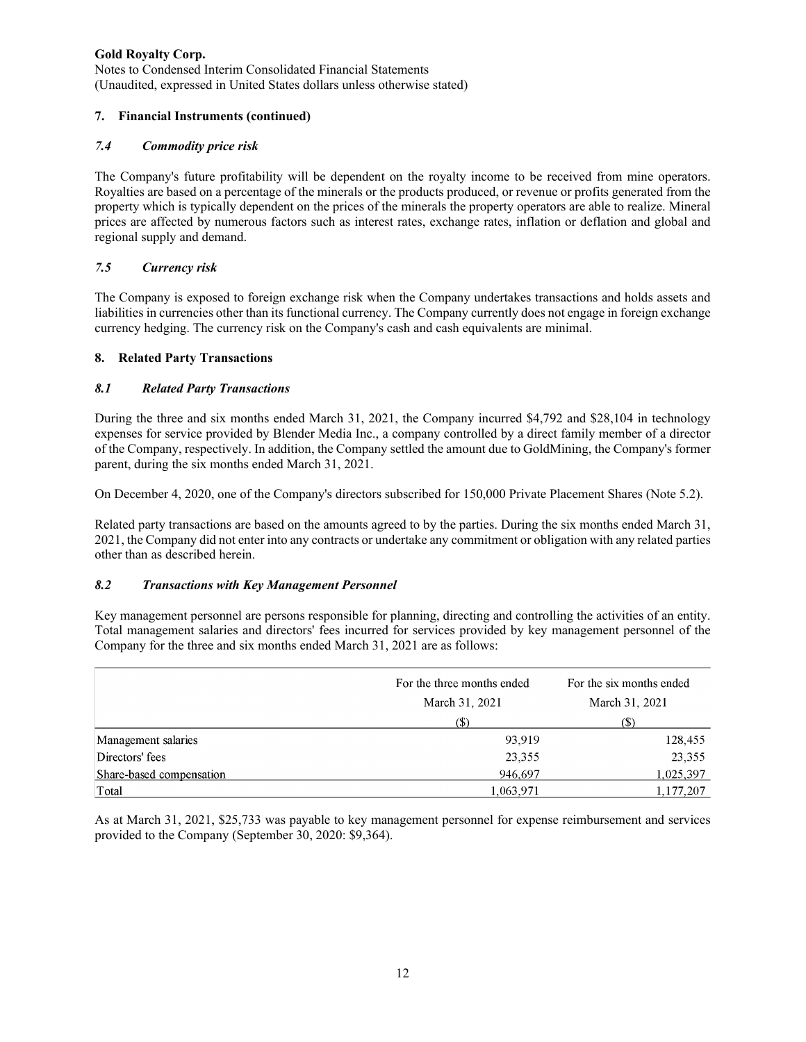Notes to Condensed Interim Consolidated Financial Statements (Unaudited, expressed in United States dollars unless otherwise stated)

# **7. Financial Instruments (continued)**

### *7.4 Commodity price risk*

The Company's future profitability will be dependent on the royalty income to be received from mine operators. Royalties are based on a percentage of the minerals or the products produced, or revenue or profits generated from the property which is typically dependent on the prices of the minerals the property operators are able to realize. Mineral prices are affected by numerous factors such as interest rates, exchange rates, inflation or deflation and global and regional supply and demand.

# *7.5 Currency risk*

The Company is exposed to foreign exchange risk when the Company undertakes transactions and holds assets and liabilities in currencies other than its functional currency. The Company currently does not engage in foreign exchange currency hedging. The currency risk on the Company's cash and cash equivalents are minimal.

# **8. Related Party Transactions**

# *8.1 Related Party Transactions*

During the three and six months ended March 31, 2021, the Company incurred \$4,792 and \$28,104 in technology expenses for service provided by Blender Media Inc., a company controlled by a direct family member of a director of the Company, respectively. In addition, the Company settled the amount due to GoldMining, the Company's former parent, during the six months ended March 31, 2021.

On December 4, 2020, one of the Company's directors subscribed for 150,000 Private Placement Shares (Note 5.2).

Related party transactions are based on the amounts agreed to by the parties. During the six months ended March 31, 2021, the Company did not enter into any contracts or undertake any commitment or obligation with any related parties other than as described herein.

### *8.2 Transactions with Key Management Personnel*

Key management personnel are persons responsible for planning, directing and controlling the activities of an entity. Total management salaries and directors' fees incurred for services provided by key management personnel of the Company for the three and six months ended March 31, 2021 are as follows:

|                          | For the three months ended | For the six months ended   |  |
|--------------------------|----------------------------|----------------------------|--|
|                          | March 31, 2021             | March 31, 2021             |  |
|                          | (\$                        | $\left( \mathbb{S}\right)$ |  |
| Management salaries      | 93,919                     | 128,455                    |  |
| Directors' fees          | 23,355                     | 23,355                     |  |
| Share-based compensation | 946,697                    | 1,025,397                  |  |
| Total                    | 1,063,971                  | 1,177,207                  |  |

As at March 31, 2021, \$25,733 was payable to key management personnel for expense reimbursement and services provided to the Company (September 30, 2020: \$9,364).